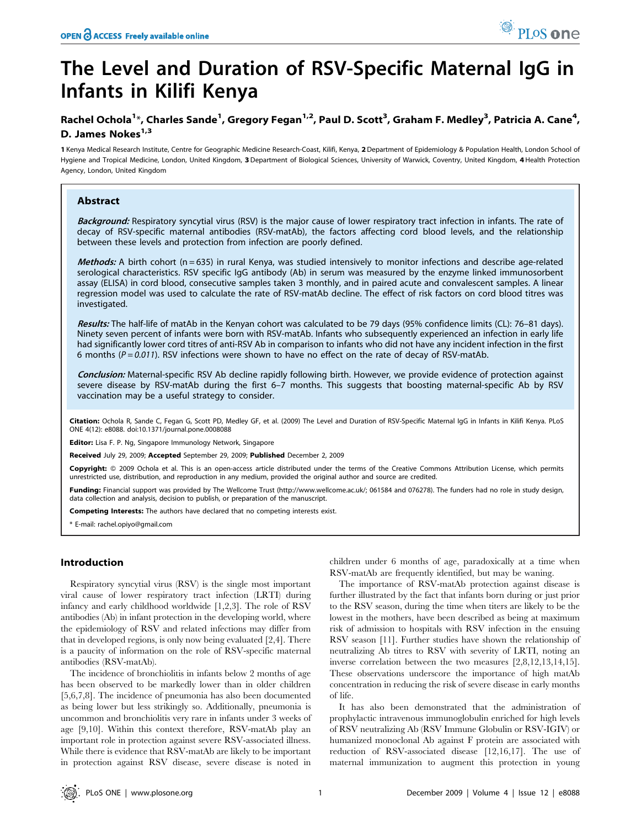# The Level and Duration of RSV-Specific Maternal IgG in Infants in Kilifi Kenya

## Rachel Ochola<sup>1</sup>\*, Charles Sande<sup>1</sup>, Gregory Fegan<sup>1,2</sup>, Paul D. Scott<sup>3</sup>, Graham F. Medley<sup>3</sup>, Patricia A. Cane<sup>4</sup>, D. James Nokes<sup>1,3</sup>

1 Kenya Medical Research Institute, Centre for Geographic Medicine Research-Coast, Kilifi, Kenya, 2 Department of Epidemiology & Population Health, London School of Hygiene and Tropical Medicine, London, United Kingdom, 3 Department of Biological Sciences, University of Warwick, Coventry, United Kingdom, 4 Health Protection Agency, London, United Kingdom

## Abstract

Background: Respiratory syncytial virus (RSV) is the major cause of lower respiratory tract infection in infants. The rate of decay of RSV-specific maternal antibodies (RSV-matAb), the factors affecting cord blood levels, and the relationship between these levels and protection from infection are poorly defined.

Methods: A birth cohort (n = 635) in rural Kenya, was studied intensively to monitor infections and describe age-related serological characteristics. RSV specific IgG antibody (Ab) in serum was measured by the enzyme linked immunosorbent assay (ELISA) in cord blood, consecutive samples taken 3 monthly, and in paired acute and convalescent samples. A linear regression model was used to calculate the rate of RSV-matAb decline. The effect of risk factors on cord blood titres was investigated.

Results: The half-life of matAb in the Kenyan cohort was calculated to be 79 days (95% confidence limits (CL): 76-81 days). Ninety seven percent of infants were born with RSV-matAb. Infants who subsequently experienced an infection in early life had significantly lower cord titres of anti-RSV Ab in comparison to infants who did not have any incident infection in the first 6 months ( $P = 0.011$ ). RSV infections were shown to have no effect on the rate of decay of RSV-matAb.

Conclusion: Maternal-specific RSV Ab decline rapidly following birth. However, we provide evidence of protection against severe disease by RSV-matAb during the first 6–7 months. This suggests that boosting maternal-specific Ab by RSV vaccination may be a useful strategy to consider.

Citation: Ochola R, Sande C, Fegan G, Scott PD, Medley GF, et al. (2009) The Level and Duration of RSV-Specific Maternal IgG in Infants in Kilifi Kenya. PLoS ONE 4(12): e8088. doi:10.1371/journal.pone.0008088

Editor: Lisa F. P. Ng, Singapore Immunology Network, Singapore

Received July 29, 2009; Accepted September 29, 2009; Published December 2, 2009

Copyright: @ 2009 Ochola et al. This is an open-access article distributed under the terms of the Creative Commons Attribution License, which permits unrestricted use, distribution, and reproduction in any medium, provided the original author and source are credited.

Funding: Financial support was provided by The Wellcome Trust (http://www.wellcome.ac.uk/; 061584 and 076278). The funders had no role in study design, data collection and analysis, decision to publish, or preparation of the manuscript.

Competing Interests: The authors have declared that no competing interests exist.

\* E-mail: rachel.opiyo@gmail.com

## Introduction

Respiratory syncytial virus (RSV) is the single most important viral cause of lower respiratory tract infection (LRTI) during infancy and early childhood worldwide [1,2,3]. The role of RSV antibodies (Ab) in infant protection in the developing world, where the epidemiology of RSV and related infections may differ from that in developed regions, is only now being evaluated [2,4]. There is a paucity of information on the role of RSV-specific maternal antibodies (RSV-matAb).

The incidence of bronchiolitis in infants below 2 months of age has been observed to be markedly lower than in older children [5,6,7,8]. The incidence of pneumonia has also been documented as being lower but less strikingly so. Additionally, pneumonia is uncommon and bronchiolitis very rare in infants under 3 weeks of age [9,10]. Within this context therefore, RSV-matAb play an important role in protection against severe RSV-associated illness. While there is evidence that RSV-matAb are likely to be important in protection against RSV disease, severe disease is noted in

children under 6 months of age, paradoxically at a time when RSV-matAb are frequently identified, but may be waning.

The importance of RSV-matAb protection against disease is further illustrated by the fact that infants born during or just prior to the RSV season, during the time when titers are likely to be the lowest in the mothers, have been described as being at maximum risk of admission to hospitals with RSV infection in the ensuing RSV season [11]. Further studies have shown the relationship of neutralizing Ab titres to RSV with severity of LRTI, noting an inverse correlation between the two measures [2,8,12,13,14,15]. These observations underscore the importance of high matAb concentration in reducing the risk of severe disease in early months of life.

It has also been demonstrated that the administration of prophylactic intravenous immunoglobulin enriched for high levels of RSV neutralizing Ab (RSV Immune Globulin or RSV-IGIV) or humanized monoclonal Ab against F protein are associated with reduction of RSV-associated disease [12,16,17]. The use of maternal immunization to augment this protection in young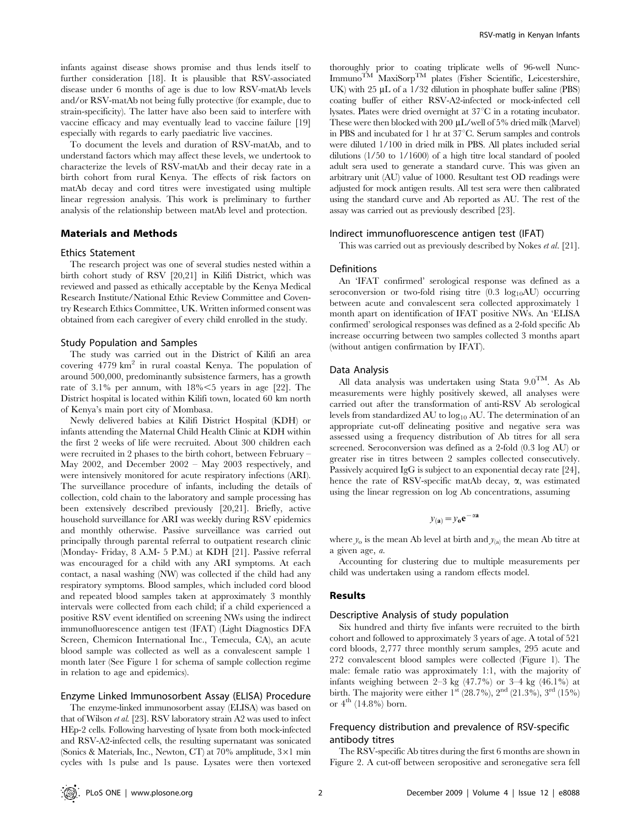infants against disease shows promise and thus lends itself to further consideration [18]. It is plausible that RSV-associated disease under 6 months of age is due to low RSV-matAb levels and/or RSV-matAb not being fully protective (for example, due to strain-specificity). The latter have also been said to interfere with vaccine efficacy and may eventually lead to vaccine failure [19] especially with regards to early paediatric live vaccines.

To document the levels and duration of RSV-matAb, and to understand factors which may affect these levels, we undertook to characterize the levels of RSV-matAb and their decay rate in a birth cohort from rural Kenya. The effects of risk factors on matAb decay and cord titres were investigated using multiple linear regression analysis. This work is preliminary to further analysis of the relationship between matAb level and protection.

## Materials and Methods

#### Ethics Statement

The research project was one of several studies nested within a birth cohort study of RSV [20,21] in Kilifi District, which was reviewed and passed as ethically acceptable by the Kenya Medical Research Institute/National Ethic Review Committee and Coventry Research Ethics Committee, UK. Written informed consent was obtained from each caregiver of every child enrolled in the study.

#### Study Population and Samples

The study was carried out in the District of Kilifi an area covering  $4779 \text{ km}^2$  in rural coastal Kenya. The population of around 500,000, predominantly subsistence farmers, has a growth rate of 3.1% per annum, with  $18\% < 5$  years in age [22]. The District hospital is located within Kilifi town, located 60 km north of Kenya's main port city of Mombasa.

Newly delivered babies at Kilifi District Hospital (KDH) or infants attending the Maternal Child Health Clinic at KDH within the first 2 weeks of life were recruited. About 300 children each were recruited in 2 phases to the birth cohort, between February – May 2002, and December 2002 – May 2003 respectively, and were intensively monitored for acute respiratory infections (ARI). The surveillance procedure of infants, including the details of collection, cold chain to the laboratory and sample processing has been extensively described previously [20,21]. Briefly, active household surveillance for ARI was weekly during RSV epidemics and monthly otherwise. Passive surveillance was carried out principally through parental referral to outpatient research clinic (Monday- Friday, 8 A.M- 5 P.M.) at KDH [21]. Passive referral was encouraged for a child with any ARI symptoms. At each contact, a nasal washing (NW) was collected if the child had any respiratory symptoms. Blood samples, which included cord blood and repeated blood samples taken at approximately 3 monthly intervals were collected from each child; if a child experienced a positive RSV event identified on screening NWs using the indirect immunofluorescence antigen test (IFAT) (Light Diagnostics DFA Screen, Chemicon International Inc., Temecula, CA), an acute blood sample was collected as well as a convalescent sample 1 month later (See Figure 1 for schema of sample collection regime in relation to age and epidemics).

## Enzyme Linked Immunosorbent Assay (ELISA) Procedure

The enzyme-linked immunosorbent assay (ELISA) was based on that of Wilson et al. [23]. RSV laboratory strain A2 was used to infect HEp-2 cells. Following harvesting of lysate from both mock-infected and RSV-A2-infected cells, the resulting supernatant was sonicated (Sonics & Materials, Inc., Newton, CT) at 70% amplitude, 3*6*1 min cycles with 1s pulse and 1s pause. Lysates were then vortexed thoroughly prior to coating triplicate wells of 96-well Nunc-Immuno<sup>TM</sup> MaxiSorp<sup>TM</sup> plates (Fisher Scientific, Leicestershire, UK) with  $25 \mu L$  of a  $1/32$  dilution in phosphate buffer saline (PBS) coating buffer of either RSV-A2-infected or mock-infected cell lysates. Plates were dried overnight at  $37^{\circ}$ C in a rotating incubator. These were then blocked with 200  $\mu$ L/well of 5% dried milk (Marvel) in PBS and incubated for 1 hr at  $37^{\circ}$ C. Serum samples and controls were diluted 1/100 in dried milk in PBS. All plates included serial dilutions (1/50 to 1/1600) of a high titre local standard of pooled adult sera used to generate a standard curve. This was given an arbitrary unit (AU) value of 1000. Resultant test OD readings were adjusted for mock antigen results. All test sera were then calibrated using the standard curve and Ab reported as AU. The rest of the assay was carried out as previously described [23].

#### Indirect immunofluorescence antigen test (IFAT)

This was carried out as previously described by Nokes et al. [21].

## **Definitions**

An 'IFAT confirmed' serological response was defined as a seroconversion or two-fold rising titre  $(0.3 \text{ log}_{10}AU)$  occurring between acute and convalescent sera collected approximately 1 month apart on identification of IFAT positive NWs. An 'ELISA confirmed' serological responses was defined as a 2-fold specific Ab increase occurring between two samples collected 3 months apart (without antigen confirmation by IFAT).

#### Data Analysis

All data analysis was undertaken using Stata  $9.0^{TM}$ . As Ab measurements were highly positively skewed, all analyses were carried out after the transformation of anti-RSV Ab serological levels from standardized AU to  $log_{10}$  AU. The determination of an appropriate cut-off delineating positive and negative sera was assessed using a frequency distribution of Ab titres for all sera screened. Seroconversion was defined as a 2-fold (0.3 log AU) or greater rise in titres between 2 samples collected consecutively. Passively acquired IgG is subject to an exponential decay rate [24], hence the rate of RSV-specific matAb decay, *a*, was estimated using the linear regression on log Ab concentrations, assuming

$$
y_{(a)} = y_0 e^{-\alpha a}
$$

where  $y_0$  is the mean Ab level at birth and  $y_{(a)}$  the mean Ab titre at a given age, a.

Accounting for clustering due to multiple measurements per child was undertaken using a random effects model.

#### Results

## Descriptive Analysis of study population

Six hundred and thirty five infants were recruited to the birth cohort and followed to approximately 3 years of age. A total of 521 cord bloods, 2,777 three monthly serum samples, 295 acute and 272 convalescent blood samples were collected (Figure 1). The male: female ratio was approximately 1:1, with the majority of infants weighing between 2–3 kg (47.7%) or 3–4 kg (46.1%) at birth. The majority were either  $1^{st}$  (28.7%),  $2^{nd}$  (21.3%),  $3^{rd}$  (15%) or  $4^{th}$  (14.8%) born.

## Frequency distribution and prevalence of RSV-specific antibody titres

The RSV-specific Ab titres during the first 6 months are shown in Figure 2. A cut-off between seropositive and seronegative sera fell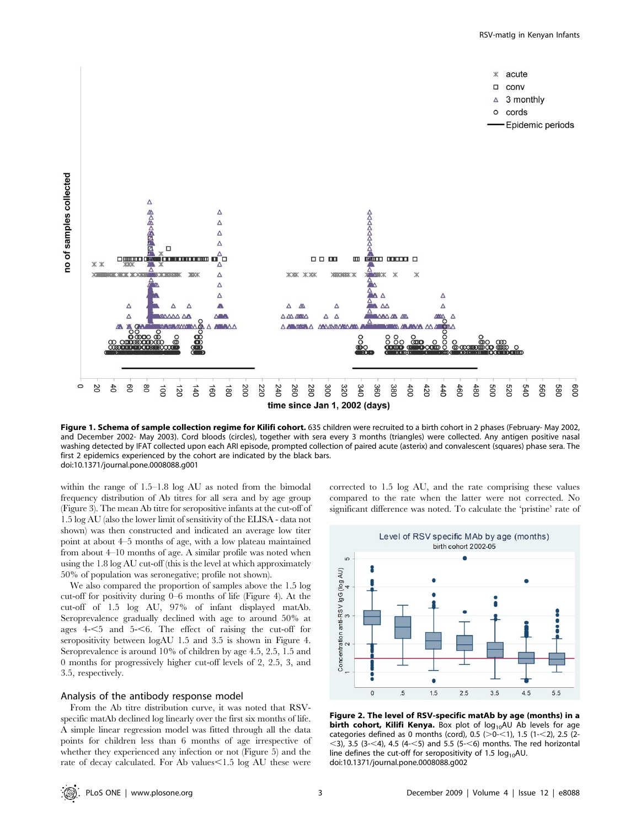

time since Jan 1, 2002 (days)

Figure 1. Schema of sample collection regime for Kilifi cohort. 635 children were recruited to a birth cohort in 2 phases (February- May 2002, and December 2002- May 2003). Cord bloods (circles), together with sera every 3 months (triangles) were collected. Any antigen positive nasal washing detected by IFAT collected upon each ARI episode, prompted collection of paired acute (asterix) and convalescent (squares) phase sera. The first 2 epidemics experienced by the cohort are indicated by the black bars. doi:10.1371/journal.pone.0008088.g001

within the range of 1.5–1.8 log AU as noted from the bimodal frequency distribution of Ab titres for all sera and by age group (Figure 3). The mean Ab titre for seropositive infants at the cut-off of 1.5 log AU (also the lower limit of sensitivity of the ELISA - data not shown) was then constructed and indicated an average low titer point at about 4–5 months of age, with a low plateau maintained from about 4–10 months of age. A similar profile was noted when using the 1.8 log AU cut-off (this is the level at which approximately 50% of population was seronegative; profile not shown).

We also compared the proportion of samples above the 1.5 log cut-off for positivity during 0–6 months of life (Figure 4). At the cut-off of 1.5 log AU, 97% of infant displayed matAb. Seroprevalence gradually declined with age to around 50% at ages  $4 - 5$  and  $5 - 6$ . The effect of raising the cut-off for seropositivity between logAU 1.5 and 3.5 is shown in Figure 4. Seroprevalence is around 10% of children by age 4.5, 2.5, 1.5 and 0 months for progressively higher cut-off levels of 2, 2.5, 3, and 3.5, respectively.

## Analysis of the antibody response model

no of samples collected

From the Ab titre distribution curve, it was noted that RSVspecific matAb declined log linearly over the first six months of life. A simple linear regression model was fitted through all the data points for children less than 6 months of age irrespective of whether they experienced any infection or not (Figure 5) and the rate of decay calculated. For Ab values $\leq$ 1.5 log AU these were

corrected to 1.5 log AU, and the rate comprising these values compared to the rate when the latter were not corrected. No significant difference was noted. To calculate the 'pristine' rate of



Figure 2. The level of RSV-specific matAb by age (months) in a birth cohort, Kilifi Kenya. Box plot of  $log_{10}$ AU Ab levels for age categories defined as 0 months (cord), 0.5 ( $>0$ - $<$ 1), 1.5 (1- $<$ 2), 2.5 (2- $<$ 3), 3.5 (3- $<$ 4), 4.5 (4- $<$ 5) and 5.5 (5- $<$ 6) months. The red horizontal line defines the cut-off for seropositivity of 1.5  $log_{10}$ AU. doi:10.1371/journal.pone.0008088.g002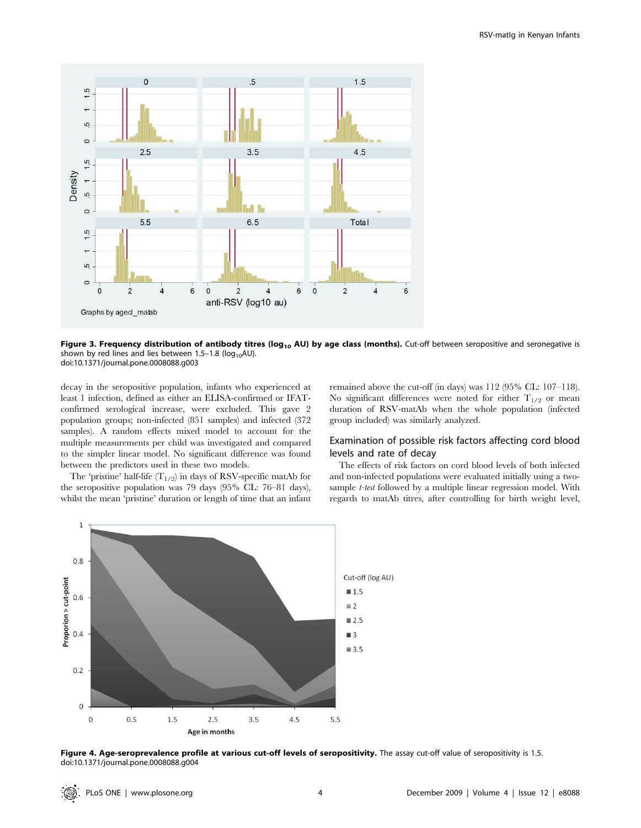

Figure 3. Frequency distribution of antibody titres ( $log_{10}$  AU) by age class (months). Cut-off between seropositive and seronegative is shown by red lines and lies between  $1.5-1.8$  (log<sub>10</sub>AU). doi:10.1371/journal.pone.0008088.g003

decay in the seropositive population, infants who experienced at least 1 infection, defined as either an ELISA-confirmed or IFATconfirmed serological increase, were excluded. This gave 2 population groups; non-infected (851 samples) and infected (372 samples). A random effects mixed model to account for the multiple measurements per child was investigated and compared to the simpler linear model. No significant difference was found between the predictors used in these two models.

The 'pristine' half-life  $(T_{1/2})$  in days of RSV-specific matAb for the seropositive population was 79 days (95% CL: 76–81 days), whilst the mean 'pristine' duration or length of time that an infant remained above the cut-off (in days) was 112 (95% CL: 107–118). No significant differences were noted for either  $T_{1/2}$  or mean duration of RSV-matAb when the whole population (infected group included) was similarly analyzed.

## Examination of possible risk factors affecting cord blood levels and rate of decay

The effects of risk factors on cord blood levels of both infected and non-infected populations were evaluated initially using a twosample *t-test* followed by a multiple linear regression model. With regards to matAb titres, after controlling for birth weight level,



Figure 4. Age-seroprevalence profile at various cut-off levels of seropositivity. The assay cut-off value of seropositivity is 1.5. doi:10.1371/journal.pone.0008088.g004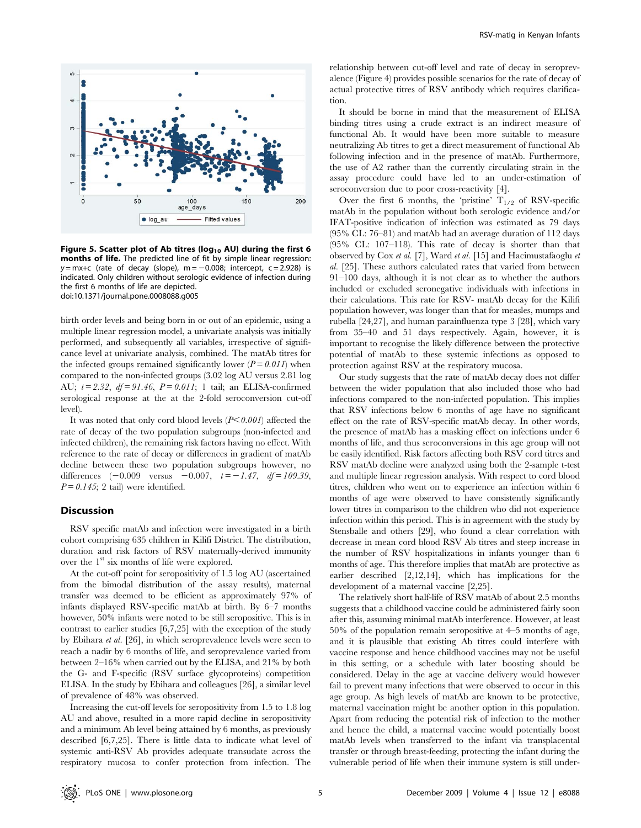

Figure 5. Scatter plot of Ab titres ( $log_{10}$  AU) during the first 6 months of life. The predicted line of fit by simple linear regression:  $y = mx+c$  (rate of decay (slope),  $m = -0.008$ ; intercept, c = 2.928) is indicated. Only children without serologic evidence of infection during the first 6 months of life are depicted. doi:10.1371/journal.pone.0008088.g005

birth order levels and being born in or out of an epidemic, using a multiple linear regression model, a univariate analysis was initially performed, and subsequently all variables, irrespective of significance level at univariate analysis, combined. The matAb titres for the infected groups remained significantly lower  $(P = 0.011)$  when compared to the non-infected groups (3.02 log AU versus 2.81 log AU;  $t = 2.32$ ,  $df = 91.46$ ,  $P = 0.011$ ; 1 tail; an ELISA-confirmed serological response at the at the 2-fold seroconversion cut-off level).

It was noted that only cord blood levels  $(P<0.001)$  affected the rate of decay of the two population subgroups (non-infected and infected children), the remaining risk factors having no effect. With reference to the rate of decay or differences in gradient of matAb decline between these two population subgroups however, no differences  $(-0.009 \text{ versus } -0.007, t = -1.47, df = 109.39,$  $P = 0.145$ ; 2 tail) were identified.

## **Discussion**

RSV specific matAb and infection were investigated in a birth cohort comprising 635 children in Kilifi District. The distribution, duration and risk factors of RSV maternally-derived immunity over the  $1<sup>st</sup>$  six months of life were explored.

At the cut-off point for seropositivity of 1.5 log AU (ascertained from the bimodal distribution of the assay results), maternal transfer was deemed to be efficient as approximately 97% of infants displayed RSV-specific matAb at birth. By 6–7 months however, 50% infants were noted to be still seropositive. This is in contrast to earlier studies [6,7,25] with the exception of the study by Ebihara et al. [26], in which seroprevalence levels were seen to reach a nadir by 6 months of life, and seroprevalence varied from between 2–16% when carried out by the ELISA, and 21% by both the G- and F-specific (RSV surface glycoproteins) competition ELISA. In the study by Ebihara and colleagues [26], a similar level of prevalence of 48% was observed.

Increasing the cut-off levels for seropositivity from 1.5 to 1.8 log AU and above, resulted in a more rapid decline in seropositivity and a minimum Ab level being attained by 6 months, as previously described [6,7,25]. There is little data to indicate what level of systemic anti-RSV Ab provides adequate transudate across the respiratory mucosa to confer protection from infection. The

relationship between cut-off level and rate of decay in seroprevalence (Figure 4) provides possible scenarios for the rate of decay of actual protective titres of RSV antibody which requires clarification.

It should be borne in mind that the measurement of ELISA binding titres using a crude extract is an indirect measure of functional Ab. It would have been more suitable to measure neutralizing Ab titres to get a direct measurement of functional Ab following infection and in the presence of matAb. Furthermore, the use of A2 rather than the currently circulating strain in the assay procedure could have led to an under-estimation of seroconversion due to poor cross-reactivity [4].

Over the first 6 months, the 'pristine'  $T_{1/2}$  of RSV-specific matAb in the population without both serologic evidence and/or IFAT-positive indication of infection was estimated as 79 days (95% CL: 76–81) and matAb had an average duration of 112 days (95% CL: 107–118). This rate of decay is shorter than that observed by Cox et al. [7], Ward et al. [15] and Hacimustafaoglu et al. [25]. These authors calculated rates that varied from between 91–100 days, although it is not clear as to whether the authors included or excluded seronegative individuals with infections in their calculations. This rate for RSV- matAb decay for the Kilifi population however, was longer than that for measles, mumps and rubella [24,27], and human parainfluenza type 3 [28], which vary from 35–40 and 51 days respectively. Again, however, it is important to recognise the likely difference between the protective potential of matAb to these systemic infections as opposed to protection against RSV at the respiratory mucosa.

Our study suggests that the rate of matAb decay does not differ between the wider population that also included those who had infections compared to the non-infected population. This implies that RSV infections below 6 months of age have no significant effect on the rate of RSV-specific matAb decay. In other words, the presence of matAb has a masking effect on infections under 6 months of life, and thus seroconversions in this age group will not be easily identified. Risk factors affecting both RSV cord titres and RSV matAb decline were analyzed using both the 2-sample t-test and multiple linear regression analysis. With respect to cord blood titres, children who went on to experience an infection within 6 months of age were observed to have consistently significantly lower titres in comparison to the children who did not experience infection within this period. This is in agreement with the study by Stensballe and others [29], who found a clear correlation with decrease in mean cord blood RSV Ab titres and steep increase in the number of RSV hospitalizations in infants younger than 6 months of age. This therefore implies that matAb are protective as earlier described [2,12,14], which has implications for the development of a maternal vaccine [2,25].

The relatively short half-life of RSV matAb of about 2.5 months suggests that a childhood vaccine could be administered fairly soon after this, assuming minimal matAb interference. However, at least 50% of the population remain seropositive at 4–5 months of age, and it is plausible that existing Ab titres could interfere with vaccine response and hence childhood vaccines may not be useful in this setting, or a schedule with later boosting should be considered. Delay in the age at vaccine delivery would however fail to prevent many infections that were observed to occur in this age group. As high levels of matAb are known to be protective, maternal vaccination might be another option in this population. Apart from reducing the potential risk of infection to the mother and hence the child, a maternal vaccine would potentially boost matAb levels when transferred to the infant via transplacental transfer or through breast-feeding, protecting the infant during the vulnerable period of life when their immune system is still under